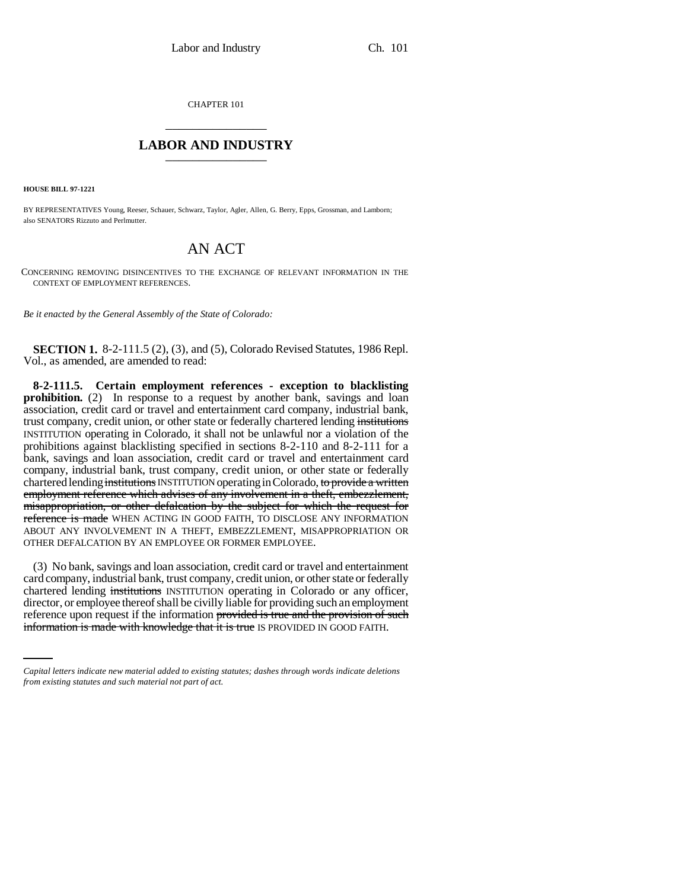CHAPTER 101 \_\_\_\_\_\_\_\_\_\_\_\_\_\_\_

## **LABOR AND INDUSTRY** \_\_\_\_\_\_\_\_\_\_\_\_\_\_\_

**HOUSE BILL 97-1221**

BY REPRESENTATIVES Young, Reeser, Schauer, Schwarz, Taylor, Agler, Allen, G. Berry, Epps, Grossman, and Lamborn; also SENATORS Rizzuto and Perlmutter.

## AN ACT

CONCERNING REMOVING DISINCENTIVES TO THE EXCHANGE OF RELEVANT INFORMATION IN THE CONTEXT OF EMPLOYMENT REFERENCES.

*Be it enacted by the General Assembly of the State of Colorado:*

**SECTION 1.** 8-2-111.5 (2), (3), and (5), Colorado Revised Statutes, 1986 Repl. Vol., as amended, are amended to read:

**8-2-111.5. Certain employment references - exception to blacklisting prohibition.** (2) In response to a request by another bank, savings and loan association, credit card or travel and entertainment card company, industrial bank, trust company, credit union, or other state or federally chartered lending institutions INSTITUTION operating in Colorado, it shall not be unlawful nor a violation of the prohibitions against blacklisting specified in sections 8-2-110 and 8-2-111 for a bank, savings and loan association, credit card or travel and entertainment card company, industrial bank, trust company, credit union, or other state or federally chartered lending institutions INSTITUTION operating in Colorado, to provide a written employment reference which advises of any involvement in a theft, embezzlement, misappropriation, or other defalcation by the subject for which the request for reference is made WHEN ACTING IN GOOD FAITH, TO DISCLOSE ANY INFORMATION ABOUT ANY INVOLVEMENT IN A THEFT, EMBEZZLEMENT, MISAPPROPRIATION OR OTHER DEFALCATION BY AN EMPLOYEE OR FORMER EMPLOYEE.

director, or employee thereof shall be civilly liable for providing such an employment (3) No bank, savings and loan association, credit card or travel and entertainment card company, industrial bank, trust company, credit union, or other state or federally chartered lending institutions INSTITUTION operating in Colorado or any officer, reference upon request if the information provided is true and the provision of such information is made with knowledge that it is true IS PROVIDED IN GOOD FAITH.

*Capital letters indicate new material added to existing statutes; dashes through words indicate deletions from existing statutes and such material not part of act.*